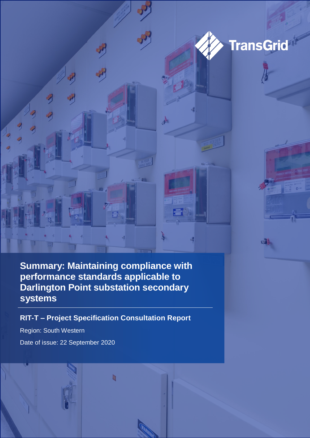

 $531$ 

**Summary: Maintaining compliance with performance standards applicable to Darlington Point substation secondary systems**

 $\mathbf{A}$ 

 $\mathbf{r}$ 

**RIT-T – Project Specification Consultation Report**

h

Region: South Western Date of issue: 22 September 2020

啰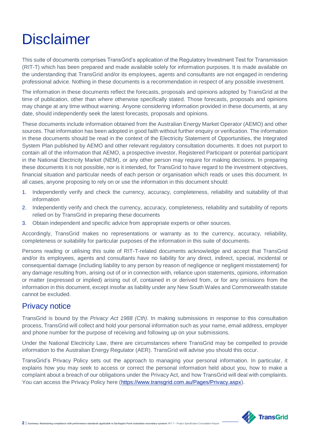# **Disclaimer**

This suite of documents comprises TransGrid's application of the Regulatory Investment Test for Transmission (RIT-T) which has been prepared and made available solely for information purposes. It is made available on the understanding that TransGrid and/or its employees, agents and consultants are not engaged in rendering professional advice. Nothing in these documents is a recommendation in respect of any possible investment.

The information in these documents reflect the forecasts, proposals and opinions adopted by TransGrid at the time of publication, other than where otherwise specifically stated. Those forecasts, proposals and opinions may change at any time without warning. Anyone considering information provided in these documents, at any date, should independently seek the latest forecasts, proposals and opinions.

These documents include information obtained from the Australian Energy Market Operator (AEMO) and other sources. That information has been adopted in good faith without further enquiry or verification. The information in these documents should be read in the context of the Electricity Statement of Opportunities, the Integrated System Plan published by AEMO and other relevant regulatory consultation documents. It does not purport to contain all of the information that AEMO, a prospective investor, Registered Participant or potential participant in the National Electricity Market (NEM), or any other person may require for making decisions. In preparing these documents it is not possible, nor is it intended, for TransGrid to have regard to the investment objectives, financial situation and particular needs of each person or organisation which reads or uses this document. In all cases, anyone proposing to rely on or use the information in this document should:

- 1. Independently verify and check the currency, accuracy, completeness, reliability and suitability of that information
- 2. Independently verify and check the currency, accuracy, completeness, reliability and suitability of reports relied on by TransGrid in preparing these documents
- 3. Obtain independent and specific advice from appropriate experts or other sources.

Accordingly, TransGrid makes no representations or warranty as to the currency, accuracy, reliability, completeness or suitability for particular purposes of the information in this suite of documents.

Persons reading or utilising this suite of RIT-T-related documents acknowledge and accept that TransGrid and/or its employees, agents and consultants have no liability for any direct, indirect, special, incidental or consequential damage (including liability to any person by reason of negligence or negligent misstatement) for any damage resulting from, arising out of or in connection with, reliance upon statements, opinions, information or matter (expressed or implied) arising out of, contained in or derived from, or for any omissions from the information in this document, except insofar as liability under any New South Wales and Commonwealth statute cannot be excluded.

## Privacy notice

TransGrid is bound by the *Privacy Act 1988 (Cth)*. In making submissions in response to this consultation process, TransGrid will collect and hold your personal information such as your name, email address, employer and phone number for the purpose of receiving and following up on your submissions.

Under the National Electricity Law, there are circumstances where TransGrid may be compelled to provide information to the Australian Energy Regulator (AER). TransGrid will advise you should this occur.

TransGrid's Privacy Policy sets out the approach to managing your personal information. In particular, it explains how you may seek to access or correct the personal information held about you, how to make a complaint about a breach of our obligations under the Privacy Act, and how TransGrid will deal with complaints. You can access the Privacy Policy here [\(https://www.transgrid.com.au/Pages/Privacy.aspx\)](https://www.transgrid.com.au/Pages/Privacy.aspx).

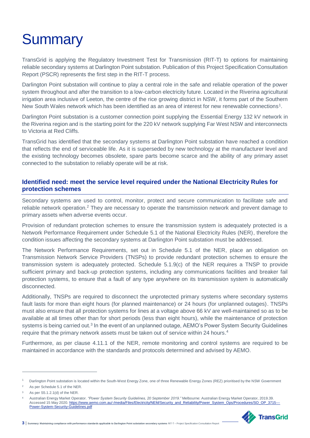# **Summary**

TransGrid is applying the Regulatory Investment Test for Transmission (RIT-T) to options for maintaining reliable secondary systems at Darlington Point substation. Publication of this Project Specification Consultation Report (PSCR) represents the first step in the RIT-T process.

Darlington Point substation will continue to play a central role in the safe and reliable operation of the power system throughout and after the transition to a low-carbon electricity future. Located in the Riverina agricultural irrigation area inclusive of Leeton, the centre of the rice growing district in NSW, it forms part of the Southern New South Wales network which has been identified as an area of interest for new renewable connections<sup>1</sup>.

Darlington Point substation is a customer connection point supplying the Essential Energy 132 kV network in the Riverina region and is the starting point for the 220 kV network supplying Far West NSW and interconnects to Victoria at Red Cliffs.

TransGrid has identified that the secondary systems at Darlington Point substation have reached a condition that reflects the end of serviceable life. As it is superseded by new technology at the manufacturer level and the existing technology becomes obsolete, spare parts become scarce and the ability of any primary asset connected to the substation to reliably operate will be at risk.

### **Identified need: meet the service level required under the National Electricity Rules for protection schemes**

Secondary systems are used to control, monitor, protect and secure communication to facilitate safe and reliable network operation.<sup>2</sup> They are necessary to operate the transmission network and prevent damage to primary assets when adverse events occur.

Provision of redundant protection schemes to ensure the transmission system is adequately protected is a Network Performance Requirement under Schedule 5.1 of the National Electricity Rules (NER), therefore the condition issues affecting the secondary systems at Darlington Point substation must be addressed.

The Network Performance Requirements, set out in Schedule 5.1 of the NER, place an obligation on Transmission Network Service Providers (TNSPs) to provide redundant protection schemes to ensure the transmission system is adequately protected. Schedule 5.1.9(c) of the NER requires a TNSP to provide sufficient primary and back-up protection systems, including any communications facilities and breaker fail protection systems, to ensure that a fault of any type anywhere on its transmission system is automatically disconnected.

Additionally, TNSPs are required to disconnect the unprotected primary systems where secondary systems fault lasts for more than eight hours (for planned maintenance) or 24 hours (for unplanned outages). TNSPs must also ensure that all protection systems for lines at a voltage above 66 kV are well-maintained so as to be available at all times other than for short periods (less than eight hours), while the maintenance of protection systems is being carried out.<sup>3</sup> In the event of an unplanned outage, AEMO's Power System Security Guidelines require that the primary network assets must be taken out of service within 24 hours.<sup>4</sup>

Furthermore, as per clause 4.11.1 of the NER, remote monitoring and control systems are required to be maintained in accordance with the standards and protocols determined and advised by AEMO.

 $\overline{a}$ 

<sup>4</sup> Australian Energy Market Operator. *"Power System Security Guidelines, 20 September 2019."* Melbourne: Australian Energy Market Operator, 2019.39. Accessed 15 May 2020[. https://www.aemo.com.au/-/media/Files/Electricity/NEM/Security\\_and\\_Reliability/Power\\_System\\_Ops/Procedures/SO\\_OP\\_3715---](https://www.aemo.com.au/-/media/Files/Electricity/NEM/Security_and_Reliability/Power_System_Ops/Procedures/SO_OP_3715---Power-System-Security-Guidelines.pdf) [Power-System-Security-Guidelines.pdf](https://www.aemo.com.au/-/media/Files/Electricity/NEM/Security_and_Reliability/Power_System_Ops/Procedures/SO_OP_3715---Power-System-Security-Guidelines.pdf)



**3** | Summary: Maintaining compliance with performance standards applicable to Darlington Point substation secondary systems RIT-T – Project Specification

<sup>1</sup> Darlington Point substation is located within the South-West Energy Zone, one of three Renewable Energy Zones (REZ) prioritised by the NSW Government

<sup>2</sup> As per Schedule 5.1 of the NER.

<sup>3</sup> As per S5.1.2.1(d) of the NER.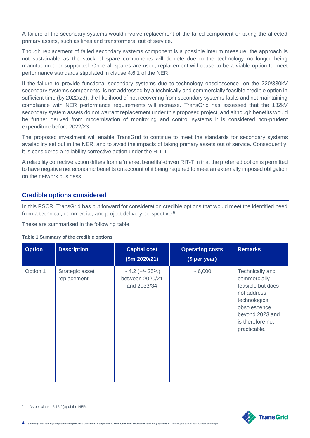A failure of the secondary systems would involve replacement of the failed component or taking the affected primary assets, such as lines and transformers, out of service.

Though replacement of failed secondary systems component is a possible interim measure, the approach is not sustainable as the stock of spare components will deplete due to the technology no longer being manufactured or supported. Once all spares are used, replacement will cease to be a viable option to meet performance standards stipulated in clause 4.6.1 of the NER.

If the failure to provide functional secondary systems due to technology obsolescence, on the 220/330kV secondary systems components, is not addressed by a technically and commercially feasible credible option in sufficient time (by 2022/23), the likelihood of not recovering from secondary systems faults and not maintaining compliance with NER performance requirements will increase. TransGrid has assessed that the 132kV secondary system assets do not warrant replacement under this proposed project, and although benefits would be further derived from modernisation of monitoring and control systems it is considered non-prudent expenditure before 2022/23.

The proposed investment will enable TransGrid to continue to meet the standards for secondary systems availability set out in the NER, and to avoid the impacts of taking primary assets out of service. Consequently, it is considered a reliability corrective action under the RIT-T.

A reliability corrective action differs from a 'market benefits'-driven RIT-T in that the preferred option is permitted to have negative net economic benefits on account of it being required to meet an externally imposed obligation on the network business.

#### **Credible options considered**

In this PSCR, TransGrid has put forward for consideration credible options that would meet the identified need from a technical, commercial, and project delivery perspective.<sup>5</sup>

These are summarised in the following table.

#### **Table 1 Summary of the credible options**

| <b>Option</b> | <b>Description</b>             | <b>Capital cost</b><br>\$m 2020/21\$                   | <b>Operating costs</b><br>(\$ per year) | <b>Remarks</b>                                                                                                                                              |
|---------------|--------------------------------|--------------------------------------------------------|-----------------------------------------|-------------------------------------------------------------------------------------------------------------------------------------------------------------|
| Option 1      | Strategic asset<br>replacement | $\sim$ 4.2 (+/- 25%)<br>between 2020/21<br>and 2033/34 | $~1$ – 6,000                            | Technically and<br>commercially<br>feasible but does<br>not address<br>technological<br>obsolescence<br>beyond 2023 and<br>is therefore not<br>practicable. |



 $\overline{a}$ 



**<sup>4</sup>** | Summary: Maintaining compliance with performance standards applicable to Darlington Point substation secondary systems RIT-T – Project Sp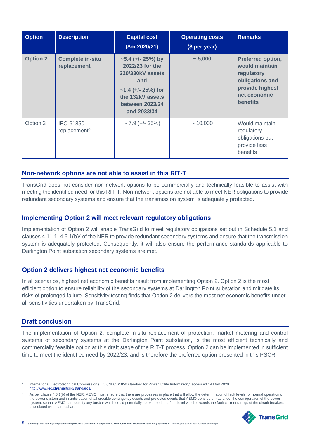| <b>Option</b>   | <b>Description</b>                     | <b>Capital cost</b><br>\$m 2020/21)                                                                                                                 | <b>Operating costs</b><br>(\$ per year) | <b>Remarks</b>                                                                                                      |
|-----------------|----------------------------------------|-----------------------------------------------------------------------------------------------------------------------------------------------------|-----------------------------------------|---------------------------------------------------------------------------------------------------------------------|
| <b>Option 2</b> | <b>Complete in-situ</b><br>replacement | $\sim$ 5.4 (+/- 25%) by<br>2022/23 for the<br>220/330kV assets<br>and<br>$~1.4$ (+/- 25%) for<br>the 132kV assets<br>between 2023/24<br>and 2033/34 | $~1$ - 5,000                            | Preferred option,<br>would maintain<br>regulatory<br>obligations and<br>provide highest<br>net economic<br>benefits |
| Option 3        | IEC-61850<br>replacement <sup>6</sup>  | $\sim$ 7.9 (+/- 25%)                                                                                                                                | ~10,000                                 | Would maintain<br>regulatory<br>obligations but<br>provide less<br>benefits                                         |

### **Non-network options are not able to assist in this RIT-T**

TransGrid does not consider non-network options to be commercially and technically feasible to assist with meeting the identified need for this RIT-T. Non-network options are not able to meet NER obligations to provide redundant secondary systems and ensure that the transmission system is adequately protected.

#### **Implementing Option 2 will meet relevant regulatory obligations**

Implementation of Option 2 will enable TransGrid to meet regulatory obligations set out in Schedule 5.1 and clauses 4.11.1, 4.6.1(b)<sup>7</sup> of the NER to provide redundant secondary systems and ensure that the transmission system is adequately protected. Consequently, it will also ensure the performance standards applicable to Darlington Point substation secondary systems are met.

### **Option 2 delivers highest net economic benefits**

In all scenarios, highest net economic benefits result from implementing Option 2. Option 2 is the most efficient option to ensure reliability of the secondary systems at Darlington Point substation and mitigate its risks of prolonged failure. Sensitivity testing finds that Option 2 delivers the most net economic benefits under all sensitivities undertaken by TransGrid.

### **Draft conclusion**

 $\overline{a}$ 

The implementation of Option 2, complete in-situ replacement of protection, market metering and control systems of secondary systems at the Darlington Point substation, is the most efficient technically and commercially feasible option at this draft stage of the RIT-T process. Option 2 can be implemented in sufficient time to meet the identified need by 2022/23, and is therefore the preferred option presented in this PSCR.

As per clause 4.6.1(b) of the NER, AEMO must ensure that there are processes in place that will allow the determination of fault levels for normal operation of the power system and in anticipation of all credible contingency events and protected events that AEMO considers may affect the configuration of the power system, so that AEMO can identify any busbar which could potentially be exposed to a fault level which exceeds the fault current ratings of the circuit breakers associated with that busbar.



 $5$  | Summary: Maintaining compliance with performance standards applicable to Darlington Point substation secondary systems RIT-T – Project Specification

<sup>6</sup> International Electrotechnical Commission (IEC), "IEC 61850 standard for Power Utility Automation," accessed 14 May 2020. <http://www.iec.ch/smartgrid/standards/>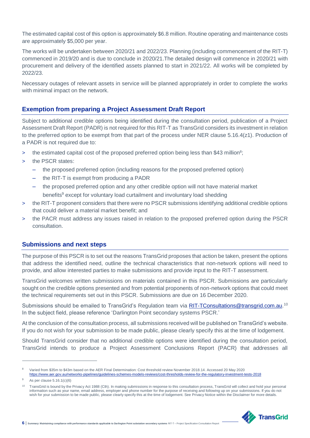The estimated capital cost of this option is approximately \$6.8 million. Routine operating and maintenance costs are approximately \$5,000 per year.

The works will be undertaken between 2020/21 and 2022/23. Planning (including commencement of the RIT-T) commenced in 2019/20 and is due to conclude in 2020/21.The detailed design will commence in 2020/21 with procurement and delivery of the identified assets planned to start in 2021/22. All works will be completed by 2022/23.

Necessary outages of relevant assets in service will be planned appropriately in order to complete the works with minimal impact on the network.

#### **Exemption from preparing a Project Assessment Draft Report**

Subject to additional credible options being identified during the consultation period, publication of a Project Assessment Draft Report (PADR) is not required for this RIT-T as TransGrid considers its investment in relation to the preferred option to be exempt from that part of the process under NER clause 5.16.4(z1). Production of a PADR is not required due to:

- > the estimated capital cost of the proposed preferred option being less than \$43 million<sup>8</sup>;
- > the PSCR states:
	- the proposed preferred option (including reasons for the proposed preferred option)
	- the RIT-T is exempt from producing a PADR
	- the proposed preferred option and any other credible option will not have material market benefits<sup>9</sup> except for voluntary load curtailment and involuntary load shedding
- > the RIT-T proponent considers that there were no PSCR submissions identifying additional credible options that could deliver a material market benefit; and
- > the PACR must address any issues raised in relation to the proposed preferred option during the PSCR consultation.

#### **Submissions and next steps**

The purpose of this PSCR is to set out the reasons TransGrid proposes that action be taken, present the options that address the identified need, outline the technical characteristics that non-network options will need to provide, and allow interested parties to make submissions and provide input to the RIT-T assessment.

TransGrid welcomes written submissions on materials contained in this PSCR. Submissions are particularly sought on the credible options presented and from potential proponents of non-network options that could meet the technical requirements set out in this PSCR. Submissions are due on 16 December 2020.

Submissions should be emailed to TransGrid's Regulation team via **RIT-TConsultations@transgrid.com.au**.<sup>10</sup> In the subject field, please reference 'Darlington Point secondary systems PSCR.'

At the conclusion of the consultation process, all submissions received will be published on TransGrid's website. If you do not wish for your submission to be made public, please clearly specify this at the time of lodgement.

Should TransGrid consider that no additional credible options were identified during the consultation period, TransGrid intends to produce a Project Assessment Conclusions Report (PACR) that addresses all

 $\overline{a}$ 

<sup>&</sup>lt;sup>10</sup> TransGrid is bound by the Privacy Act 1988 (Cth). In making submissions in response to this consultation process, TransGrid will collect and hold your personal information such as your name, email address, employer and phone number for the purpose of receiving and following up on your submissions. If you do not<br>wish for your submission to be made public, please clearly specify th



<sup>8</sup> Varied from \$35m to \$43m based on the AER Final Determination: Cost threshold review November 2018.14. Accessed 20 May 2020 <https://www.aer.gov.au/networks-pipelines/guidelines-schemes-models-reviews/cost-thresholds-review-for-the-regulatory-investment-tests-2018>

<sup>9</sup> As per clause 5.16.1(c)(6)